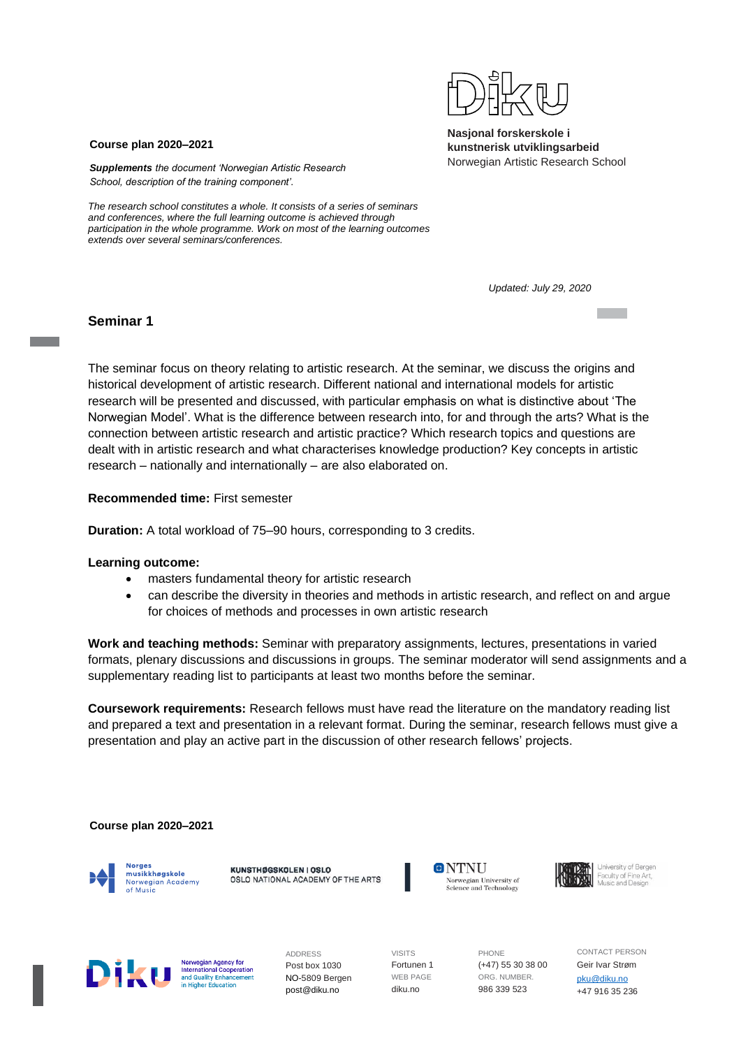

#### **Course plan 2020–2021**

*Supplements the document 'Norwegian Artistic Research School, description of the training component'.*

*The research school constitutes a whole. It consists of a series of seminars and conferences, where the full learning outcome is achieved through participation in the whole programme. Work on most of the learning outcomes extends over several seminars/conferences.*

*Updated: July 29, 2020*

# **Seminar 1**

The seminar focus on theory relating to artistic research. At the seminar, we discuss the origins and historical development of artistic research. Different national and international models for artistic research will be presented and discussed, with particular emphasis on what is distinctive about 'The Norwegian Model'. What is the difference between research into, for and through the arts? What is the connection between artistic research and artistic practice? Which research topics and questions are dealt with in artistic research and what characterises knowledge production? Key concepts in artistic research – nationally and internationally – are also elaborated on.

**Recommended time:** First semester

**Duration:** A total workload of 75–90 hours, corresponding to 3 credits.

#### **Learning outcome:**

- masters fundamental theory for artistic research
- can describe the diversity in theories and methods in artistic research, and reflect on and argue for choices of methods and processes in own artistic research

**Work and teaching methods:** Seminar with preparatory assignments, lectures, presentations in varied formats, plenary discussions and discussions in groups. The seminar moderator will send assignments and a supplementary reading list to participants at least two months before the seminar.

**Coursework requirements:** Research fellows must have read the literature on the mandatory reading list and prepared a text and presentation in a relevant format. During the seminar, research fellows must give a presentation and play an active part in the discussion of other research fellows' projects.

**Course plan 2020–2021**



KUNSTHØGSKOLEN I OSLO OSLO NATIONAL ACADEMY OF THE ARTS







Norwegian Agency for **International Cooperation**<br>and Quality Enhancement <u>internation</u>

ADDRESS Post box 1030 NO-5809 Bergen post@diku.no

VISITS Fortunen 1 WEB PAGE diku.no

PHONE (+47) 55 30 38 00 ORG. NUMBER. 986 339 523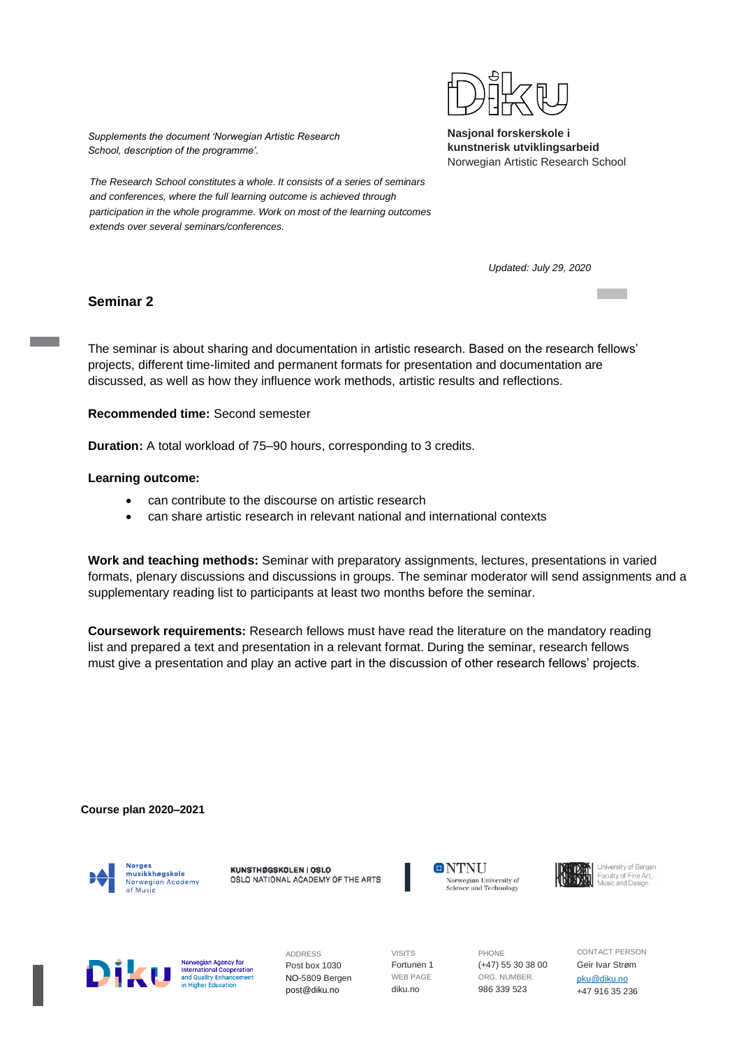

*Supplements the document 'Norwegian Artistic Research School, description of the programme'.*

*The Research School constitutes a whole. It consists of a series of seminars and conferences, where the full learning outcome is achieved through participation in the whole programme. Work on most of the learning outcomes extends over several seminars/conferences.*

*Updated: July 29, 2020*

**Tara** 

# **Seminar 2**

The seminar is about sharing and documentation in artistic research. Based on the research fellows' projects, different time-limited and permanent formats for presentation and documentation are discussed, as well as how they influence work methods, artistic results and reflections.

**Recommended time:** Second semester

**Duration:** A total workload of 75–90 hours, corresponding to 3 credits.

#### **Learning outcome:**

- can contribute to the discourse on artistic research
- can share artistic research in relevant national and international contexts

**Work and teaching methods:** Seminar with preparatory assignments, lectures, presentations in varied formats, plenary discussions and discussions in groups. The seminar moderator will send assignments and a supplementary reading list to participants at least two months before the seminar.

**Coursework requirements:** Research fellows must have read the literature on the mandatory reading list and prepared a text and presentation in a relevant format. During the seminar, research fellows must give a presentation and play an active part in the discussion of other research fellows' projects.

#### **Course plan 2020–2021**



KUNSTHØGSKOLEN I OSLO OSLO NATIONAL ACADEMY OF THE ARTS







Norwegian Agency for **International Cooperation**<br>and Quality Enhancement <u>ination</u>

ADDRESS Post box 1030 NO-5809 Bergen post@diku.no

VISITS Fortunen 1 WEB PAGE diku.no

PHONE (+47) 55 30 38 00 ORG. NUMBER. 986 339 523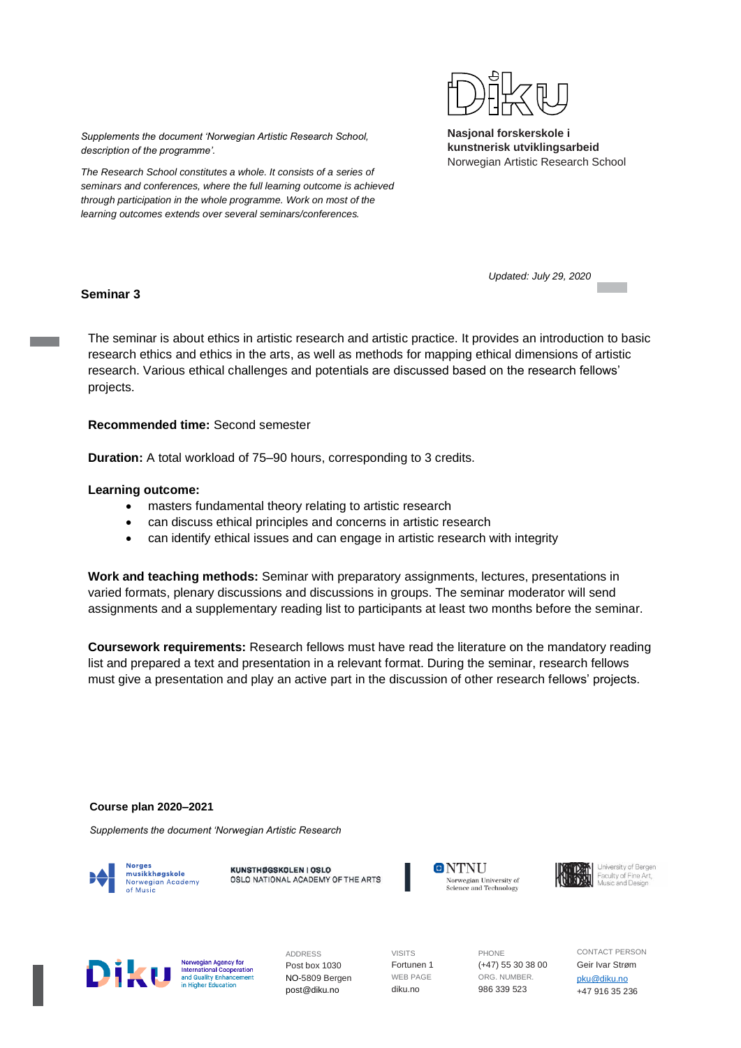

**Nasjonal forskerskole i kunstnerisk utviklingsarbeid**

*Supplements the document 'Norwegian Artistic Research School, description of the programme'.*

*The Research School constitutes a whole. It consists of a series of seminars and conferences, where the full learning outcome is achieved through participation in the whole programme. Work on most of the learning outcomes extends over several seminars/conferences.*

Norwegian Artistic Research School

**Seminar 3**

*Updated: July 29, 2020*

The seminar is about ethics in artistic research and artistic practice. It provides an introduction to basic research ethics and ethics in the arts, as well as methods for mapping ethical dimensions of artistic research. Various ethical challenges and potentials are discussed based on the research fellows' projects.

#### **Recommended time:** Second semester

**Duration:** A total workload of 75–90 hours, corresponding to 3 credits.

#### **Learning outcome:**

- masters fundamental theory relating to artistic research
- can discuss ethical principles and concerns in artistic research
- can identify ethical issues and can engage in artistic research with integrity

**Work and teaching methods:** Seminar with preparatory assignments, lectures, presentations in varied formats, plenary discussions and discussions in groups. The seminar moderator will send assignments and a supplementary reading list to participants at least two months before the seminar.

**Coursework requirements:** Research fellows must have read the literature on the mandatory reading list and prepared a text and presentation in a relevant format. During the seminar, research fellows must give a presentation and play an active part in the discussion of other research fellows' projects.

#### **Course plan 2020–2021**

*Supplements the document 'Norwegian Artistic Research* 

musikkhøgskole Norwegian Academy of Music

KUNSTHØGSKOLEN I OSLO OSLO NATIONAL ACADEMY OF THE ARTS





Norwegian Agency for **International Cooperation**<br>and Quality Enhancement <u>ination</u>

ADDRESS Post box 1030 NO-5809 Bergen post@diku.no

VISITS Fortunen 1 WEB PAGE diku.no

PHONE (+47) 55 30 38 00 ORG. NUMBER. 986 339 523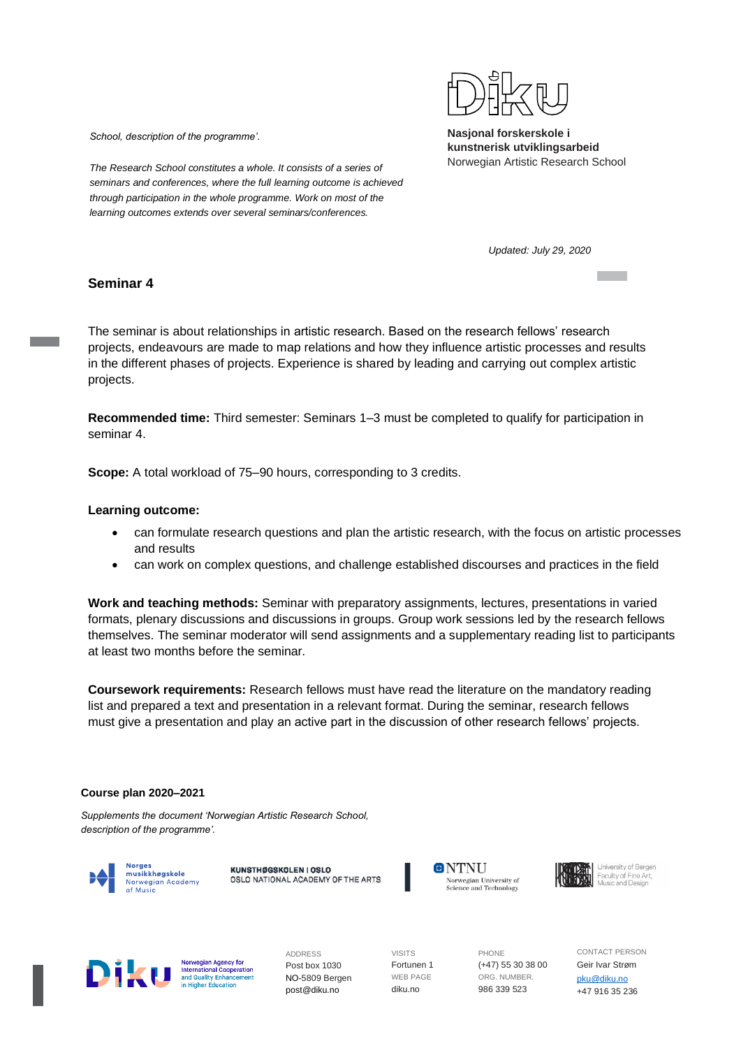

*School, description of the programme'.*

*The Research School constitutes a whole. It consists of a series of seminars and conferences, where the full learning outcome is achieved through participation in the whole programme. Work on most of the learning outcomes extends over several seminars/conferences.*

*Updated: July 29, 2020*

# **Seminar 4**

The seminar is about relationships in artistic research. Based on the research fellows' research projects, endeavours are made to map relations and how they influence artistic processes and results in the different phases of projects. Experience is shared by leading and carrying out complex artistic projects.

**Recommended time:** Third semester: Seminars 1–3 must be completed to qualify for participation in seminar 4.

**Scope:** A total workload of 75–90 hours, corresponding to 3 credits.

#### **Learning outcome:**

- can formulate research questions and plan the artistic research, with the focus on artistic processes and results
- can work on complex questions, and challenge established discourses and practices in the field

**Work and teaching methods:** Seminar with preparatory assignments, lectures, presentations in varied formats, plenary discussions and discussions in groups. Group work sessions led by the research fellows themselves. The seminar moderator will send assignments and a supplementary reading list to participants at least two months before the seminar.

**Coursework requirements:** Research fellows must have read the literature on the mandatory reading list and prepared a text and presentation in a relevant format. During the seminar, research fellows must give a presentation and play an active part in the discussion of other research fellows' projects.

#### **Course plan 2020–2021**

*Supplements the document 'Norwegian Artistic Research School, description of the programme'.*



KUNSTHØGSKOLEN I OSLO OSLO NATIONAL ACADEMY OF THE ARTS





Norwegian Agency for **International Cooperation**<br>and Quality Enhancement <u>ination</u>

ADDRESS Post box 1030 NO-5809 Bergen post@diku.no

VISITS Fortunen 1 WEB PAGE diku.no

PHONE (+47) 55 30 38 00 ORG. NUMBER. 986 339 523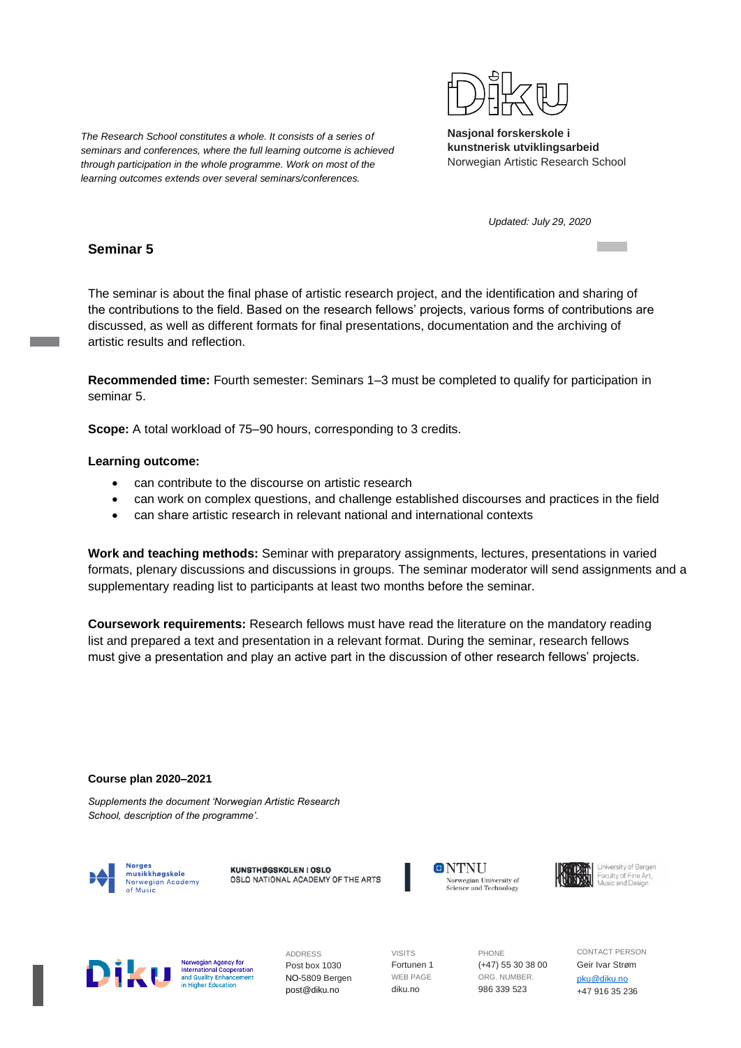

*Updated: July 29, 2020*

# *through participation in the whole programme. Work on most of the learning outcomes extends over several seminars/conferences.*

*The Research School constitutes a whole. It consists of a series of seminars and conferences, where the full learning outcome is achieved* 

# **Seminar 5**

The seminar is about the final phase of artistic research project, and the identification and sharing of the contributions to the field. Based on the research fellows' projects, various forms of contributions are discussed, as well as different formats for final presentations, documentation and the archiving of artistic results and reflection.

**Recommended time:** Fourth semester: Seminars 1–3 must be completed to qualify for participation in seminar 5.

**Scope:** A total workload of 75–90 hours, corresponding to 3 credits.

#### **Learning outcome:**

- can contribute to the discourse on artistic research
- can work on complex questions, and challenge established discourses and practices in the field
- can share artistic research in relevant national and international contexts

**Work and teaching methods:** Seminar with preparatory assignments, lectures, presentations in varied formats, plenary discussions and discussions in groups. The seminar moderator will send assignments and a supplementary reading list to participants at least two months before the seminar.

**Coursework requirements:** Research fellows must have read the literature on the mandatory reading list and prepared a text and presentation in a relevant format. During the seminar, research fellows must give a presentation and play an active part in the discussion of other research fellows' projects.

#### **Course plan 2020–2021**

*Supplements the document 'Norwegian Artistic Research School, description of the programme'.*



KUNSTHØGSKOLEN I OSLO OSLO NATIONAL ACADEMY OF THE ARTS







Norwegian Agency for **International Cooperation**<br>and Quality Enhancement <u>ination</u>

ADDRESS Post box 1030 NO-5809 Bergen post@diku.no

VISITS Fortunen 1 WEB PAGE diku.no

PHONE (+47) 55 30 38 00 ORG. NUMBER. 986 339 523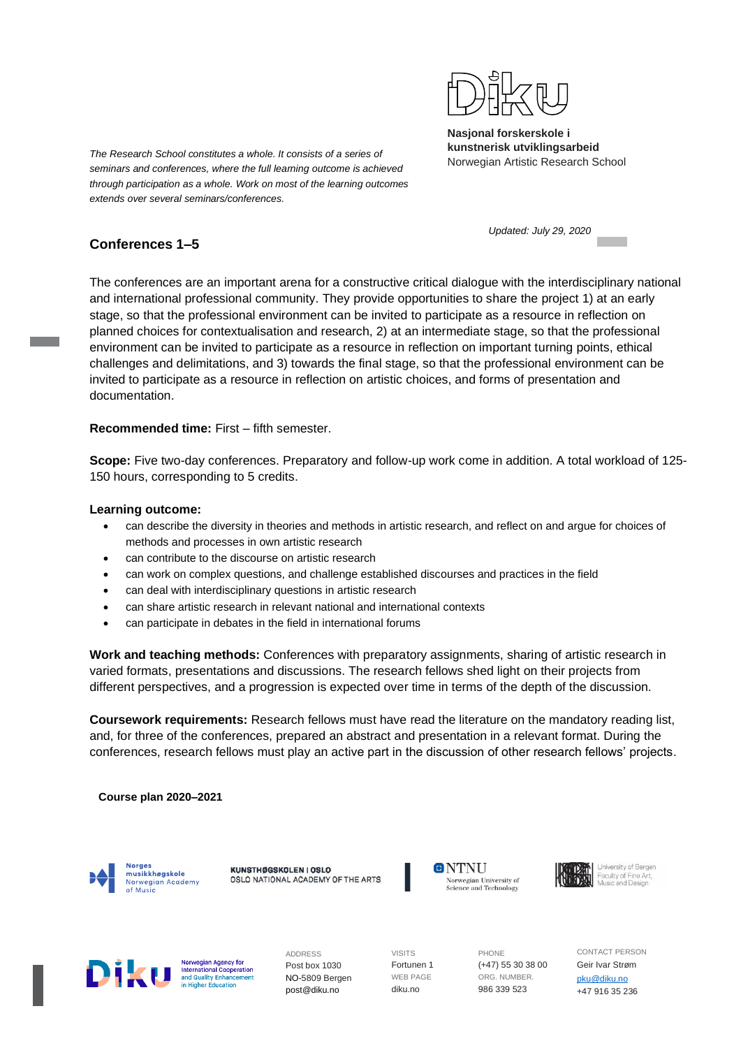

**Nasjonal forskerskole i kunstnerisk utviklingsarbeid**

The Research School constitutes a whole. It consists of a series of **The Research School** constitutes a whole. It consists of a series of **Mondaille Research School** constitutes a whole. It consists of a series of **Mondail** *seminars and conferences, where the full learning outcome is achieved through participation as a whole. Work on most of the learning outcomes extends over several seminars/conferences.*

*Updated: July 29, 2020*

# **Conferences 1–5**

The conferences are an important arena for a constructive critical dialogue with the interdisciplinary national and international professional community. They provide opportunities to share the project 1) at an early stage, so that the professional environment can be invited to participate as a resource in reflection on planned choices for contextualisation and research, 2) at an intermediate stage, so that the professional environment can be invited to participate as a resource in reflection on important turning points, ethical challenges and delimitations, and 3) towards the final stage, so that the professional environment can be invited to participate as a resource in reflection on artistic choices, and forms of presentation and documentation.

# **Recommended time:** First – fifth semester.

**Scope:** Five two-day conferences. Preparatory and follow-up work come in addition. A total workload of 125- 150 hours, corresponding to 5 credits.

# **Learning outcome:**

- can describe the diversity in theories and methods in artistic research, and reflect on and argue for choices of methods and processes in own artistic research
- can contribute to the discourse on artistic research
- can work on complex questions, and challenge established discourses and practices in the field
- can deal with interdisciplinary questions in artistic research
- can share artistic research in relevant national and international contexts
- can participate in debates in the field in international forums

**Work and teaching methods:** Conferences with preparatory assignments, sharing of artistic research in varied formats, presentations and discussions. The research fellows shed light on their projects from different perspectives, and a progression is expected over time in terms of the depth of the discussion.

**Coursework requirements:** Research fellows must have read the literature on the mandatory reading list, and, for three of the conferences, prepared an abstract and presentation in a relevant format. During the conferences, research fellows must play an active part in the discussion of other research fellows' projects.

# **Course plan 2020–2021**



KUNSTHØGSKOLEN I OSLO OSLO NATIONAL ACADEMY OF THE ARTS







Norwegian Agency for **International Cooperation**<br>and Quality Enhancement

ADDRESS Post box 1030 NO-5809 Bergen post@diku.no

VISITS Fortunen 1 WEB PAGE diku.no

PHONE (+47) 55 30 38 00 ORG. NUMBER. 986 339 523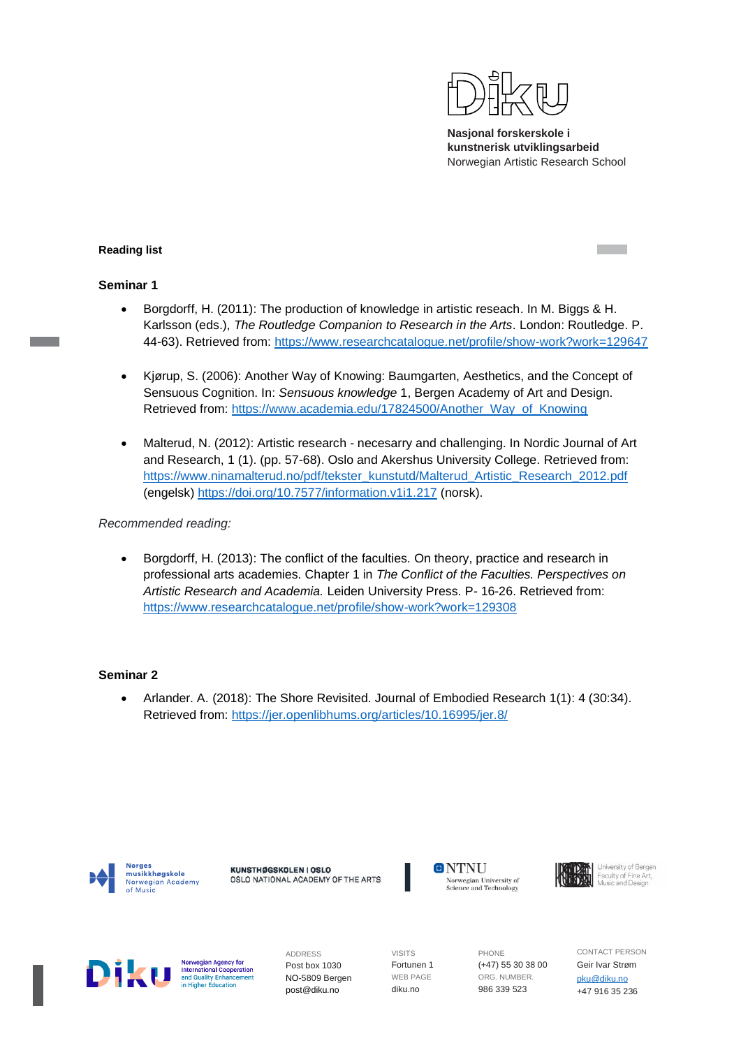

#### **Reading list**

#### **Seminar 1**

- Borgdorff, H. (2011): The production of knowledge in artistic reseach. In M. Biggs & H. Karlsson (eds.), *The Routledge Companion to Research in the Arts*. London: Routledge. P. 44-63). Retrieved from:<https://www.researchcatalogue.net/profile/show-work?work=129647>
- Kjørup, S. (2006): Another Way of Knowing: Baumgarten, Aesthetics, and the Concept of Sensuous Cognition. In: *Sensuous knowledge* 1, Bergen Academy of Art and Design. Retrieved from: [https://www.academia.edu/17824500/Another\\_Way\\_of\\_Knowing](https://www.academia.edu/17824500/Another_Way_of_Knowing)
- Malterud, N. (2012): Artistic research necesarry and challenging. In Nordic Journal of Art and Research, 1 (1). (pp. 57-68). Oslo and Akershus University College. Retrieved from: [https://www.ninamalterud.no/pdf/tekster\\_kunstutd/Malterud\\_Artistic\\_Research\\_2012.pdf](https://www.ninamalterud.no/pdf/tekster_kunstutd/Malterud_Artistic_Research_2012.pdf) (engelsk)<https://doi.org/10.7577/information.v1i1.217> (norsk).

*Recommended reading:*

• Borgdorff, H. (2013): The conflict of the faculties. On theory, practice and research in professional arts academies. Chapter 1 in *The Conflict of the Faculties. Perspectives on Artistic Research and Academia.* Leiden University Press. P- 16-26. Retrieved from: <https://www.researchcatalogue.net/profile/show-work?work=129308>

#### **Seminar 2**

• Arlander. A. (2018): The Shore Revisited. Journal of Embodied Research 1(1): 4 (30:34). Retrieved from:<https://jer.openlibhums.org/articles/10.16995/jer.8/>



KUNSTHØGSKOLEN I OSLO OSLO NATIONAL ACADEMY OF THE ARTS





Norwegian Agency for **International Cooperation**<br>and Quality Enhancement ucation<br>ucation

ADDRESS Post box 1030 NO-5809 Bergen post@diku.no

VISITS Fortunen 1 WEB PAGE diku.no

PHONE (+47) 55 30 38 00 ORG. NUMBER. 986 339 523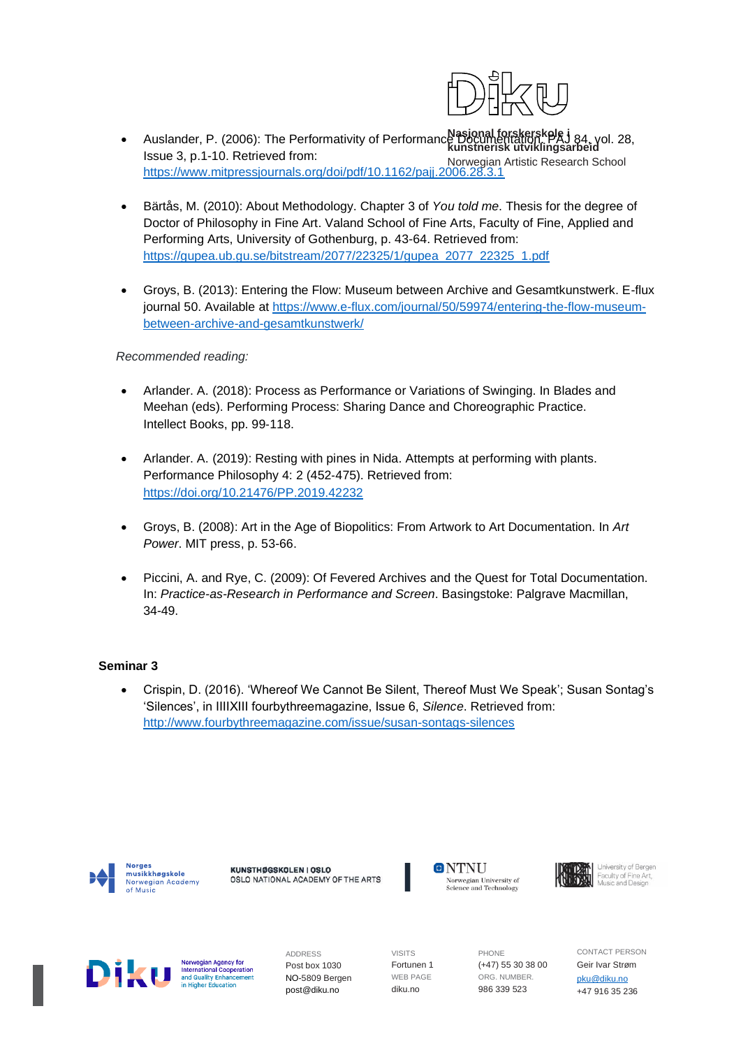

- **Nasjonal forskerskole i kunstnerisk utviklingsarbeid** • Auslander, P. (2006): The Performativity of Performance Documentation. PAJ 84, vol. 28, Norwegian Artistic Research School Issue 3, p.1-10. Retrieved from: <https://www.mitpressjournals.org/doi/pdf/10.1162/pajj.2006.28.3.1>
- Bärtås, M. (2010): About Methodology. Chapter 3 of *You told me*. Thesis for the degree of Doctor of Philosophy in Fine Art. Valand School of Fine Arts, Faculty of Fine, Applied and Performing Arts, University of Gothenburg, p. 43-64. Retrieved from: [https://gupea.ub.gu.se/bitstream/2077/22325/1/gupea\\_2077\\_22325\\_1.pdf](https://gupea.ub.gu.se/bitstream/2077/22325/1/gupea_2077_22325_1.pdf)
- Groys, B. (2013): Entering the Flow: Museum between Archive and Gesamtkunstwerk. E-flux journal 50. Available at [https://www.e-flux.com/journal/50/59974/entering-the-flow-museum](https://www.e-flux.com/journal/50/59974/entering-the-flow-museum-between-archive-and-gesamtkunstwerk/)[between-archive-and-gesamtkunstwerk/](https://www.e-flux.com/journal/50/59974/entering-the-flow-museum-between-archive-and-gesamtkunstwerk/)

#### *Recommended reading:*

- Arlander. A. (2018): Process as Performance or Variations of Swinging. In Blades and Meehan (eds). Performing Process: Sharing Dance and Choreographic Practice. Intellect Books, pp. 99‐118.
- Arlander. A. (2019): Resting with pines in Nida. Attempts at performing with plants. Performance Philosophy 4: 2 (452‐475). Retrieved from: <https://doi.org/10.21476/PP.2019.42232>
- Groys, B. (2008): Art in the Age of Biopolitics: From Artwork to Art Documentation. In *Art Power*. MIT press, p. 53-66.
- Piccini, A. and Rye, C. (2009): Of Fevered Archives and the Quest for Total Documentation. In: *Practice-as-Research in Performance and Screen*. Basingstoke: Palgrave Macmillan, 34-49.

# **Seminar 3**

• Crispin, D. (2016). 'Whereof We Cannot Be Silent, Thereof Must We Speak'; Susan Sontag's 'Silences', in IIIIXIII fourbythreemagazine, Issue 6, *Silence*. Retrieved from: <http://www.fourbythreemagazine.com/issue/susan-sontags-silences>



KUNSTHØGSKOLEN I OSLO OSLO NATIONAL ACADEMY OF THE ARTS





Norwegian Agency for **International Cooperation**<br>and Quality Enhancement <u>ination</u>

ADDRESS Post box 1030 NO-5809 Bergen post@diku.no

VISITS Fortunen 1 WEB PAGE diku.no

PHONE (+47) 55 30 38 00 ORG. NUMBER. 986 339 523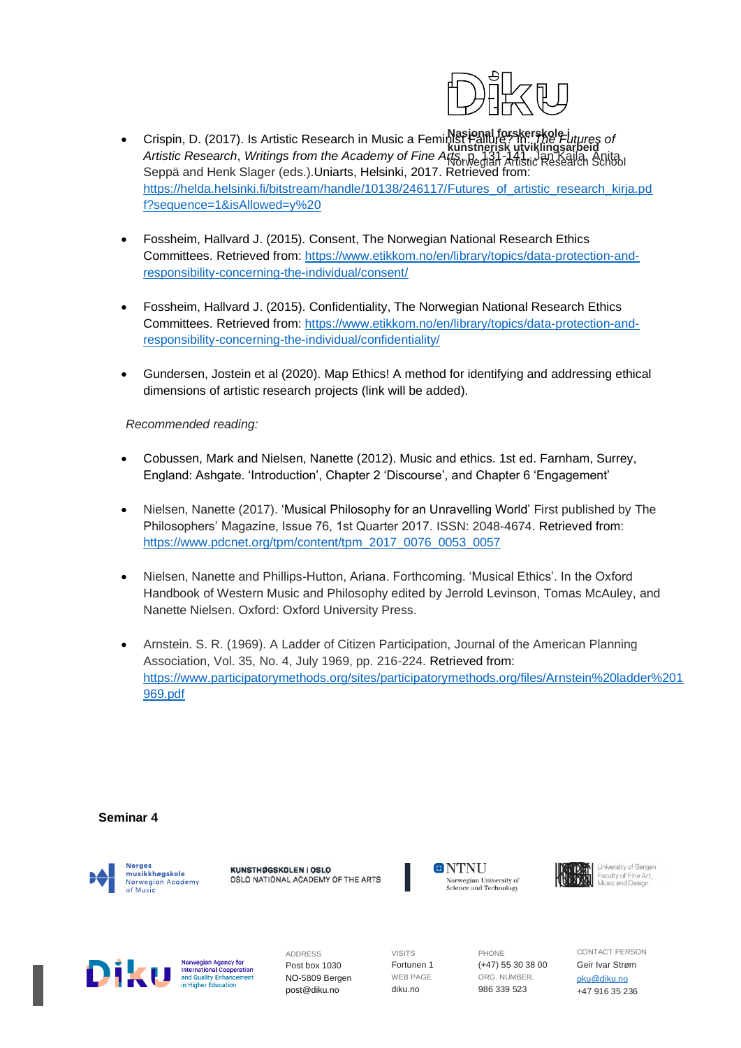

- **Nasjonal forskerskole i kunstnerisk utviklingsarbeid** Norwegian Artistic Research School • Crispin, D. (2017). Is Artistic Research in Music a Feminist Failure? In: *The Futures of Artistic Research*, *Writings from the Academy of Fine Arts*, p. 131-141, Jan Kaila, Anita Seppä and Henk Slager (eds.).Uniarts, Helsinki, 2017. Retrieved from: [https://helda.helsinki.fi/bitstream/handle/10138/246117/Futures\\_of\\_artistic\\_research\\_kirja.pd](https://helda.helsinki.fi/bitstream/handle/10138/246117/Futures_of_artistic_research_kirja.pdf?sequence=1&isAllowed=y%20) [f?sequence=1&isAllowed=y%20](https://helda.helsinki.fi/bitstream/handle/10138/246117/Futures_of_artistic_research_kirja.pdf?sequence=1&isAllowed=y%20)
- Fossheim, Hallvard J. (2015). Consent, The Norwegian National Research Ethics Committees. Retrieved from: [https://www.etikkom.no/en/library/topics/data-protection-and](https://www.etikkom.no/en/library/topics/data-protection-and-responsibility-concerning-the-individual/consent/)[responsibility-concerning-the-individual/consent/](https://www.etikkom.no/en/library/topics/data-protection-and-responsibility-concerning-the-individual/consent/)
- Fossheim, Hallvard J. (2015). Confidentiality, The Norwegian National Research Ethics Committees. Retrieved from: [https://www.etikkom.no/en/library/topics/data-protection-and](https://www.etikkom.no/en/library/topics/data-protection-and-responsibility-concerning-the-individual/confidentiality/)[responsibility-concerning-the-individual/confidentiality/](https://www.etikkom.no/en/library/topics/data-protection-and-responsibility-concerning-the-individual/confidentiality/)
- Gundersen, Jostein et al (2020). Map Ethics! A method for identifying and addressing ethical dimensions of artistic research projects (link will be added).

*Recommended reading:*

- Cobussen, Mark and Nielsen, Nanette (2012). Music and ethics. 1st ed. Farnham, Surrey, England: Ashgate. 'Introduction', Chapter 2 'Discourse', and Chapter 6 'Engagement'
- Nielsen, Nanette (2017). ['Musical Philosophy for an Unravelling World'](https://www.pdcnet.org/tpm/content/tpm_2017_0076_0053_0057) First published by The Philosophers' Magazine, Issue 76, 1st Quarter 2017. ISSN: 2048-4674. Retrieved from: [https://www.pdcnet.org/tpm/content/tpm\\_2017\\_0076\\_0053\\_0057](https://www.pdcnet.org/tpm/content/tpm_2017_0076_0053_0057)
- Nielsen, Nanette and Phillips-Hutton, Ariana. Forthcoming. 'Musical Ethics'. In the Oxford Handbook of Western Music and Philosophy edited by Jerrold Levinson, Tomas McAuley, and Nanette Nielsen. Oxford: Oxford University Press.
- Arnstein. S. R. (1969). A Ladder of Citizen Participation, Journal of the American Planning Association, Vol. 35, No. 4, July 1969, pp. 216-224. Retrieved from: [https://www.participatorymethods.org/sites/participatorymethods.org/files/Arnstein%20ladder%201](https://www.participatorymethods.org/sites/participatorymethods.org/files/Arnstein%20ladder%201969.pdf) [969.pdf](https://www.participatorymethods.org/sites/participatorymethods.org/files/Arnstein%20ladder%201969.pdf)

#### **Seminar 4**



KUNSTHØGSKOLEN I OSLO OSLO NATIONAL ACADEMY OF THE ARTS





Norwegian Agency for **International Cooperation**<br>and Quality Enhancement

ucation

ADDRESS Post box 1030 NO-5809 Bergen post@diku.no

VISITS Fortunen 1 WEB PAGE diku.no

PHONE (+47) 55 30 38 00 ORG. NUMBER. 986 339 523